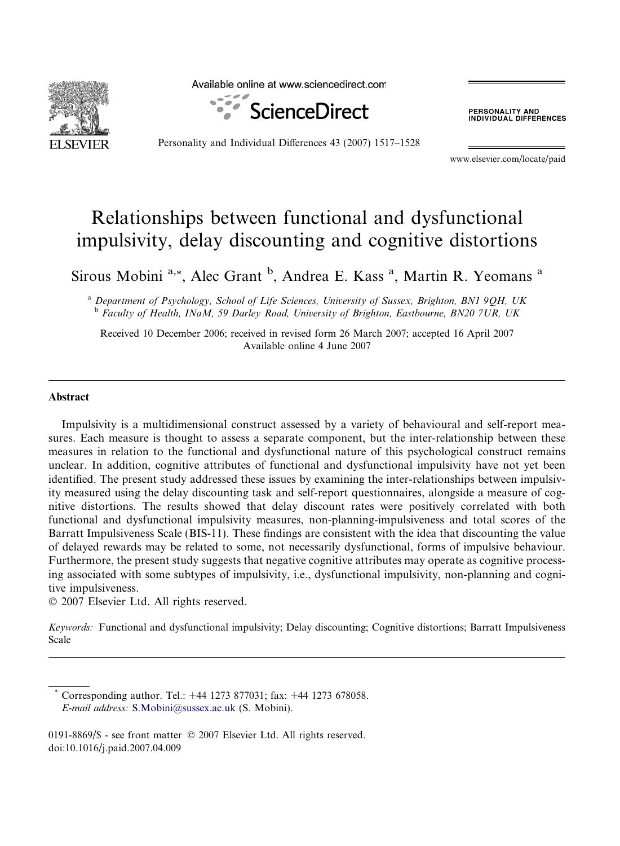

Available online at www.sciencedirect.com



**PERSONALITY AND<br>INDIVIDUAL DIFFERENCES** 

Personality and Individual Differences 43 (2007) 1517–1528

www.elsevier.com/locate/paid

# Relationships between functional and dysfunctional impulsivity, delay discounting and cognitive distortions

Sirous Mobini<sup>a,\*</sup>, Alec Grant<sup>b</sup>, Andrea E. Kass<sup>a</sup>, Martin R. Yeomans<sup>a</sup>

<sup>a</sup> Department of Psychology, School of Life Sciences, University of Sussex, Brighton, BN1 9QH, UK <sup>b</sup> Faculty of Health, INaM, 59 Darley Road, University of Brighton, Eastbourne, BN20 7UR, UK

Received 10 December 2006; received in revised form 26 March 2007; accepted 16 April 2007 Available online 4 June 2007

#### Abstract

Impulsivity is a multidimensional construct assessed by a variety of behavioural and self-report measures. Each measure is thought to assess a separate component, but the inter-relationship between these measures in relation to the functional and dysfunctional nature of this psychological construct remains unclear. In addition, cognitive attributes of functional and dysfunctional impulsivity have not yet been identified. The present study addressed these issues by examining the inter-relationships between impulsivity measured using the delay discounting task and self-report questionnaires, alongside a measure of cognitive distortions. The results showed that delay discount rates were positively correlated with both functional and dysfunctional impulsivity measures, non-planning-impulsiveness and total scores of the Barratt Impulsiveness Scale (BIS-11). These findings are consistent with the idea that discounting the value of delayed rewards may be related to some, not necessarily dysfunctional, forms of impulsive behaviour. Furthermore, the present study suggests that negative cognitive attributes may operate as cognitive processing associated with some subtypes of impulsivity, i.e., dysfunctional impulsivity, non-planning and cognitive impulsiveness.

© 2007 Elsevier Ltd. All rights reserved.

Keywords: Functional and dysfunctional impulsivity; Delay discounting; Cognitive distortions; Barratt Impulsiveness Scale

Corresponding author. Tel.: +44 1273 877031; fax: +44 1273 678058. E-mail address: [S.Mobini@sussex.ac.uk](mailto:S.Mobini@sussex.ac.uk) (S. Mobini).

0191-8869/\$ - see front matter © 2007 Elsevier Ltd. All rights reserved. doi:10.1016/j.paid.2007.04.009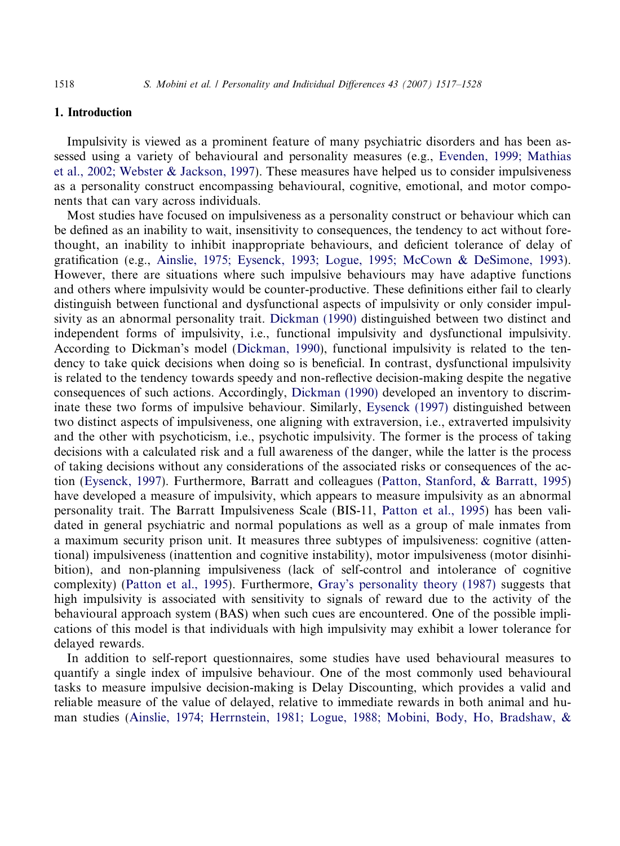#### 1. Introduction

Impulsivity is viewed as a prominent feature of many psychiatric disorders and has been assessed using a variety of behavioural and personality measures (e.g., [Evenden, 1999; Mathias](#page-10-0) [et al., 2002; Webster & Jackson, 1997\)](#page-10-0). These measures have helped us to consider impulsiveness as a personality construct encompassing behavioural, cognitive, emotional, and motor components that can vary across individuals.

Most studies have focused on impulsiveness as a personality construct or behaviour which can be defined as an inability to wait, insensitivity to consequences, the tendency to act without forethought, an inability to inhibit inappropriate behaviours, and deficient tolerance of delay of gratification (e.g., [Ainslie, 1975; Eysenck, 1993; Logue, 1995; McCown & DeSimone, 1993](#page-10-0)). However, there are situations where such impulsive behaviours may have adaptive functions and others where impulsivity would be counter-productive. These definitions either fail to clearly distinguish between functional and dysfunctional aspects of impulsivity or only consider impulsivity as an abnormal personality trait. [Dickman \(1990\)](#page-10-0) distinguished between two distinct and independent forms of impulsivity, i.e., functional impulsivity and dysfunctional impulsivity. According to Dickman's model ([Dickman, 1990\)](#page-10-0), functional impulsivity is related to the tendency to take quick decisions when doing so is beneficial. In contrast, dysfunctional impulsivity is related to the tendency towards speedy and non-reflective decision-making despite the negative consequences of such actions. Accordingly, [Dickman \(1990\)](#page-10-0) developed an inventory to discriminate these two forms of impulsive behaviour. Similarly, [Eysenck \(1997\)](#page-10-0) distinguished between two distinct aspects of impulsiveness, one aligning with extraversion, i.e., extraverted impulsivity and the other with psychoticism, i.e., psychotic impulsivity. The former is the process of taking decisions with a calculated risk and a full awareness of the danger, while the latter is the process of taking decisions without any considerations of the associated risks or consequences of the action [\(Eysenck, 1997\)](#page-10-0). Furthermore, Barratt and colleagues [\(Patton, Stanford, & Barratt, 1995](#page-11-0)) have developed a measure of impulsivity, which appears to measure impulsivity as an abnormal personality trait. The Barratt Impulsiveness Scale (BIS-11, [Patton et al., 1995\)](#page-11-0) has been validated in general psychiatric and normal populations as well as a group of male inmates from a maximum security prison unit. It measures three subtypes of impulsiveness: cognitive (attentional) impulsiveness (inattention and cognitive instability), motor impulsiveness (motor disinhibition), and non-planning impulsiveness (lack of self-control and intolerance of cognitive complexity) [\(Patton et al., 1995](#page-11-0)). Furthermore, [Gray's personality theory \(1987\)](#page-10-0) suggests that high impulsivity is associated with sensitivity to signals of reward due to the activity of the behavioural approach system (BAS) when such cues are encountered. One of the possible implications of this model is that individuals with high impulsivity may exhibit a lower tolerance for delayed rewards.

In addition to self-report questionnaires, some studies have used behavioural measures to quantify a single index of impulsive behaviour. One of the most commonly used behavioural tasks to measure impulsive decision-making is Delay Discounting, which provides a valid and reliable measure of the value of delayed, relative to immediate rewards in both animal and human studies ([Ainslie, 1974; Herrnstein, 1981; Logue, 1988; Mobini, Body, Ho, Bradshaw, &](#page-10-0)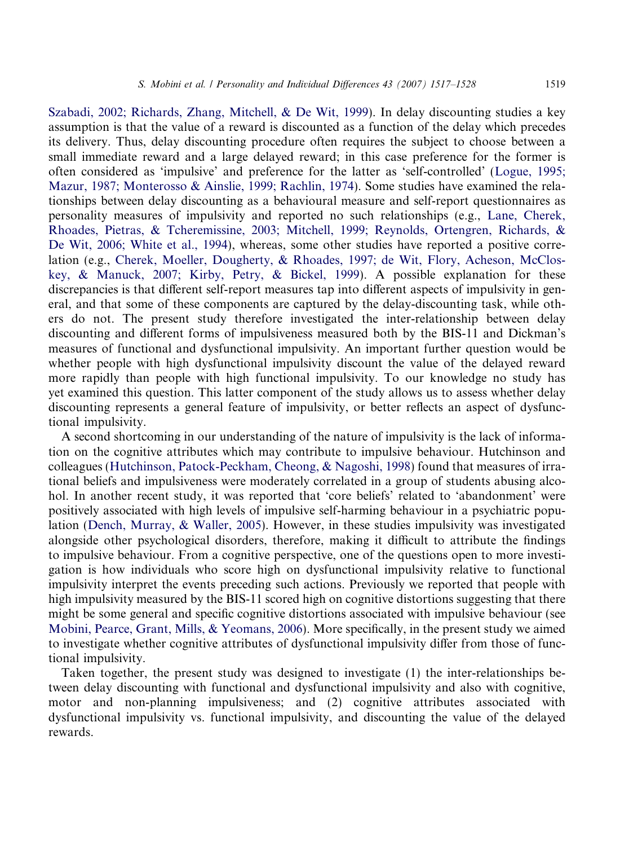[Szabadi, 2002; Richards, Zhang, Mitchell, & De Wit, 1999\)](#page-10-0). In delay discounting studies a key assumption is that the value of a reward is discounted as a function of the delay which precedes its delivery. Thus, delay discounting procedure often requires the subject to choose between a small immediate reward and a large delayed reward; in this case preference for the former is often considered as 'impulsive' and preference for the latter as 'self-controlled' ([Logue, 1995;](#page-11-0) [Mazur, 1987; Monterosso & Ainslie, 1999; Rachlin, 1974\)](#page-11-0). Some studies have examined the relationships between delay discounting as a behavioural measure and self-report questionnaires as personality measures of impulsivity and reported no such relationships (e.g., [Lane, Cherek,](#page-11-0) [Rhoades, Pietras, & Tcheremissine, 2003; Mitchell, 1999; Reynolds, Ortengren, Richards, &](#page-11-0) [De Wit, 2006; White et al., 1994](#page-11-0)), whereas, some other studies have reported a positive correlation (e.g., [Cherek, Moeller, Dougherty, & Rhoades, 1997; de Wit, Flory, Acheson, McClos](#page-10-0)[key, & Manuck, 2007; Kirby, Petry, & Bickel, 1999\)](#page-10-0). A possible explanation for these discrepancies is that different self-report measures tap into different aspects of impulsivity in general, and that some of these components are captured by the delay-discounting task, while others do not. The present study therefore investigated the inter-relationship between delay discounting and different forms of impulsiveness measured both by the BIS-11 and Dickman's measures of functional and dysfunctional impulsivity. An important further question would be whether people with high dysfunctional impulsivity discount the value of the delayed reward more rapidly than people with high functional impulsivity. To our knowledge no study has yet examined this question. This latter component of the study allows us to assess whether delay discounting represents a general feature of impulsivity, or better reflects an aspect of dysfunctional impulsivity.

A second shortcoming in our understanding of the nature of impulsivity is the lack of information on the cognitive attributes which may contribute to impulsive behaviour. Hutchinson and colleagues [\(Hutchinson, Patock-Peckham, Cheong, & Nagoshi, 1998\)](#page-10-0) found that measures of irrational beliefs and impulsiveness were moderately correlated in a group of students abusing alcohol. In another recent study, it was reported that 'core beliefs' related to 'abandonment' were positively associated with high levels of impulsive self-harming behaviour in a psychiatric population [\(Dench, Murray, & Waller, 2005](#page-10-0)). However, in these studies impulsivity was investigated alongside other psychological disorders, therefore, making it difficult to attribute the findings to impulsive behaviour. From a cognitive perspective, one of the questions open to more investigation is how individuals who score high on dysfunctional impulsivity relative to functional impulsivity interpret the events preceding such actions. Previously we reported that people with high impulsivity measured by the BIS-11 scored high on cognitive distortions suggesting that there might be some general and specific cognitive distortions associated with impulsive behaviour (see [Mobini, Pearce, Grant, Mills, & Yeomans, 2006\)](#page-11-0). More specifically, in the present study we aimed to investigate whether cognitive attributes of dysfunctional impulsivity differ from those of functional impulsivity.

Taken together, the present study was designed to investigate (1) the inter-relationships between delay discounting with functional and dysfunctional impulsivity and also with cognitive, motor and non-planning impulsiveness; and (2) cognitive attributes associated with dysfunctional impulsivity vs. functional impulsivity, and discounting the value of the delayed rewards.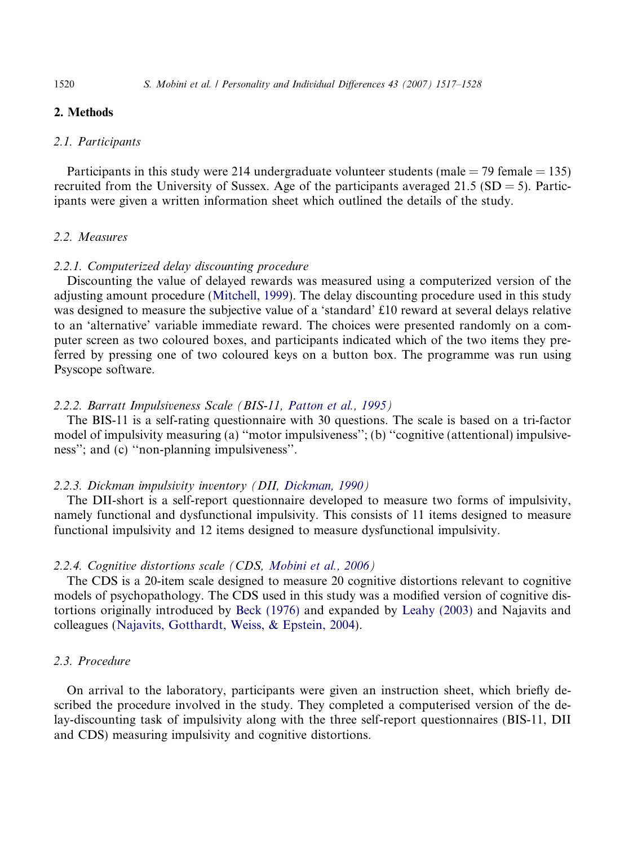# 2. Methods

#### 2.1. Participants

Participants in this study were 214 undergraduate volunteer students (male  $= 79$  female  $= 135$ ) recruited from the University of Sussex. Age of the participants averaged 21.5 ( $SD = 5$ ). Participants were given a written information sheet which outlined the details of the study.

# 2.2. Measures

#### 2.2.1. Computerized delay discounting procedure

Discounting the value of delayed rewards was measured using a computerized version of the adjusting amount procedure ([Mitchell, 1999\)](#page-11-0). The delay discounting procedure used in this study was designed to measure the subjective value of a 'standard' £10 reward at several delays relative to an 'alternative' variable immediate reward. The choices were presented randomly on a computer screen as two coloured boxes, and participants indicated which of the two items they preferred by pressing one of two coloured keys on a button box. The programme was run using Psyscope software.

### 2.2.2. Barratt Impulsiveness Scale (BIS-11, [Patton et al., 1995](#page-11-0))

The BIS-11 is a self-rating questionnaire with 30 questions. The scale is based on a tri-factor model of impulsivity measuring (a) ''motor impulsiveness''; (b) ''cognitive (attentional) impulsiveness''; and (c) ''non-planning impulsiveness''.

#### 2.2.3. Dickman impulsivity inventory (DII, [Dickman, 1990](#page-10-0))

The DII-short is a self-report questionnaire developed to measure two forms of impulsivity, namely functional and dysfunctional impulsivity. This consists of 11 items designed to measure functional impulsivity and 12 items designed to measure dysfunctional impulsivity.

# 2.2.4. Cognitive distortions scale (CDS, [Mobini et al., 2006\)](#page-11-0)

The CDS is a 20-item scale designed to measure 20 cognitive distortions relevant to cognitive models of psychopathology. The CDS used in this study was a modified version of cognitive distortions originally introduced by [Beck \(1976\)](#page-10-0) and expanded by [Leahy \(2003\)](#page-11-0) and Najavits and colleagues [\(Najavits, Gotthardt, Weiss, & Epstein, 2004\)](#page-11-0).

### 2.3. Procedure

On arrival to the laboratory, participants were given an instruction sheet, which briefly described the procedure involved in the study. They completed a computerised version of the delay-discounting task of impulsivity along with the three self-report questionnaires (BIS-11, DII and CDS) measuring impulsivity and cognitive distortions.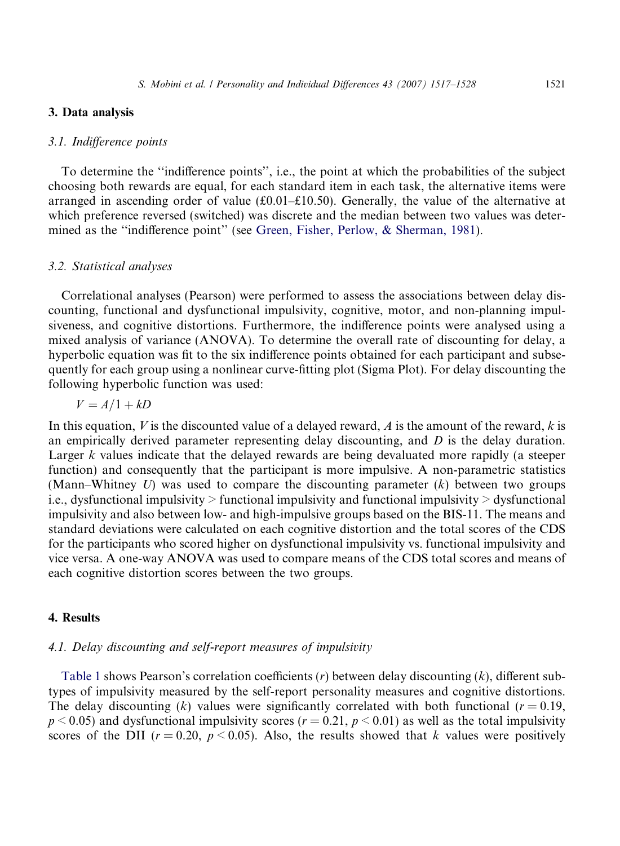#### 3. Data analysis

#### 3.1. Indifference points

To determine the ''indifference points'', i.e., the point at which the probabilities of the subject choosing both rewards are equal, for each standard item in each task, the alternative items were arranged in ascending order of value (£0.01– $\pounds$ 10.50). Generally, the value of the alternative at which preference reversed (switched) was discrete and the median between two values was determined as the ''indifference point'' (see [Green, Fisher, Perlow, & Sherman, 1981\)](#page-10-0).

#### 3.2. Statistical analyses

Correlational analyses (Pearson) were performed to assess the associations between delay discounting, functional and dysfunctional impulsivity, cognitive, motor, and non-planning impulsiveness, and cognitive distortions. Furthermore, the indifference points were analysed using a mixed analysis of variance (ANOVA). To determine the overall rate of discounting for delay, a hyperbolic equation was fit to the six indifference points obtained for each participant and subsequently for each group using a nonlinear curve-fitting plot (Sigma Plot). For delay discounting the following hyperbolic function was used:

$$
V = A/1 + kD
$$

In this equation, V is the discounted value of a delayed reward, A is the amount of the reward,  $k$  is an empirically derived parameter representing delay discounting, and  $D$  is the delay duration. Larger  $k$  values indicate that the delayed rewards are being devaluated more rapidly (a steeper function) and consequently that the participant is more impulsive. A non-parametric statistics (Mann–Whitney U) was used to compare the discounting parameter  $(k)$  between two groups i.e., dysfunctional impulsivity > functional impulsivity and functional impulsivity > dysfunctional impulsivity and also between low- and high-impulsive groups based on the BIS-11. The means and standard deviations were calculated on each cognitive distortion and the total scores of the CDS for the participants who scored higher on dysfunctional impulsivity vs. functional impulsivity and vice versa. A one-way ANOVA was used to compare means of the CDS total scores and means of each cognitive distortion scores between the two groups.

#### 4. Results

## 4.1. Delay discounting and self-report measures of impulsivity

[Table 1](#page-5-0) shows Pearson's correlation coefficients  $(r)$  between delay discounting  $(k)$ , different subtypes of impulsivity measured by the self-report personality measures and cognitive distortions. The delay discounting (k) values were significantly correlated with both functional ( $r = 0.19$ ,  $p \le 0.05$ ) and dysfunctional impulsivity scores ( $r = 0.21$ ,  $p \le 0.01$ ) as well as the total impulsivity scores of the DII ( $r = 0.20$ ,  $p < 0.05$ ). Also, the results showed that k values were positively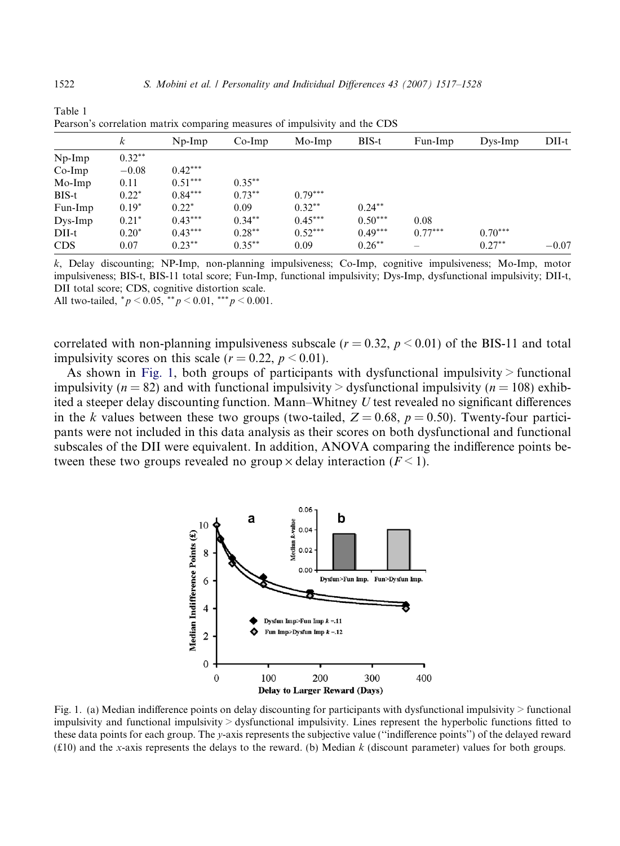|            | k        | $Np-Imp$  | $Co-Imp$  | $Mo-Imp$  | BIS-t     | Fun-Imp                  | $Dys-Imp$ | $DII-t$ |
|------------|----------|-----------|-----------|-----------|-----------|--------------------------|-----------|---------|
| $Np-Imp$   | $0.32**$ |           |           |           |           |                          |           |         |
| $Co-Imp$   | $-0.08$  | $0.42***$ |           |           |           |                          |           |         |
| $Mo-Imp$   | 0.11     | $0.51***$ | $0.35***$ |           |           |                          |           |         |
| BIS-t      | $0.22*$  | $0.84***$ | $0.73***$ | $0.79***$ |           |                          |           |         |
| $Fun-Imp$  | $0.19*$  | $0.22*$   | 0.09      | $0.32***$ | $0.24***$ |                          |           |         |
| $Dys-Imp$  | $0.21*$  | $0.43***$ | $0.34**$  | $0.45***$ | $0.50***$ | 0.08                     |           |         |
| $DII-t$    | $0.20*$  | $0.43***$ | $0.28***$ | $0.52***$ | $0.49***$ | $0.77***$                | $0.70***$ |         |
| <b>CDS</b> | 0.07     | $0.23***$ | $0.35***$ | 0.09      | $0.26***$ | $\overline{\phantom{m}}$ | $0.27**$  | $-0.07$ |

<span id="page-5-0"></span>

| Table 1                                                                    |  |  |  |
|----------------------------------------------------------------------------|--|--|--|
| Pearson's correlation matrix comparing measures of impulsivity and the CDS |  |  |  |

k, Delay discounting; NP-Imp, non-planning impulsiveness; Co-Imp, cognitive impulsiveness; Mo-Imp, motor impulsiveness; BIS-t, BIS-11 total score; Fun-Imp, functional impulsivity; Dys-Imp, dysfunctional impulsivity; DII-t, DII total score; CDS, cognitive distortion scale.

All two-tailed,  ${}^*p < 0.05$ ,  ${}^{**}p < 0.01$ ,  ${}^{***}p < 0.001$ .

correlated with non-planning impulsiveness subscale  $(r = 0.32, p \le 0.01)$  of the BIS-11 and total impulsivity scores on this scale ( $r = 0.22$ ,  $p \le 0.01$ ).

As shown in Fig. 1, both groups of participants with dysfunctional impulsivity > functional impulsivity ( $n = 82$ ) and with functional impulsivity > dysfunctional impulsivity ( $n = 108$ ) exhibited a steeper delay discounting function. Mann–Whitney U test revealed no significant differences in the k values between these two groups (two-tailed,  $Z = 0.68$ ,  $p = 0.50$ ). Twenty-four participants were not included in this data analysis as their scores on both dysfunctional and functional subscales of the DII were equivalent. In addition, ANOVA comparing the indifference points between these two groups revealed no group  $\times$  delay interaction ( $F \le 1$ ).



Fig. 1. (a) Median indifference points on delay discounting for participants with dysfunctional impulsivity > functional impulsivity and functional impulsivity > dysfunctional impulsivity. Lines represent the hyperbolic functions fitted to these data points for each group. The y-axis represents the subjective value (''indifference points'') of the delayed reward (£10) and the x-axis represents the delays to the reward. (b) Median  $k$  (discount parameter) values for both groups.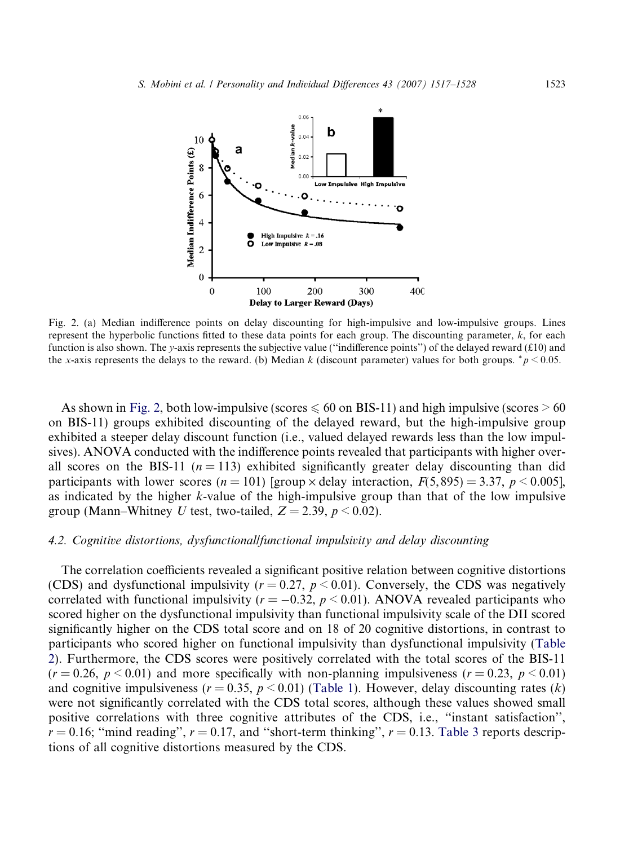![](_page_6_Figure_1.jpeg)

Fig. 2. (a) Median indifference points on delay discounting for high-impulsive and low-impulsive groups. Lines represent the hyperbolic functions fitted to these data points for each group. The discounting parameter,  $k$ , for each function is also shown. The y-axis represents the subjective value ("indifference points") of the delayed reward  $(£10)$  and the x-axis represents the delays to the reward. (b) Median k (discount parameter) values for both groups.  $p < 0.05$ .

As shown in Fig. 2, both low-impulsive (scores  $\leq 60$  on BIS-11) and high impulsive (scores  $> 60$ on BIS-11) groups exhibited discounting of the delayed reward, but the high-impulsive group exhibited a steeper delay discount function (i.e., valued delayed rewards less than the low impulsives). ANOVA conducted with the indifference points revealed that participants with higher overall scores on the BIS-11 ( $n = 113$ ) exhibited significantly greater delay discounting than did participants with lower scores ( $n = 101$ ) [group × delay interaction,  $F(5, 895) = 3.37$ ,  $p < 0.005$ ], as indicated by the higher k-value of the high-impulsive group than that of the low impulsive group (Mann–Whitney U test, two-tailed,  $Z = 2.39$ ,  $p < 0.02$ ).

## 4.2. Cognitive distortions, dysfunctional/functional impulsivity and delay discounting

The correlation coefficients revealed a significant positive relation between cognitive distortions (CDS) and dysfunctional impulsivity ( $r = 0.27$ ,  $p < 0.01$ ). Conversely, the CDS was negatively correlated with functional impulsivity ( $r = -0.32$ ,  $p \le 0.01$ ). ANOVA revealed participants who scored higher on the dysfunctional impulsivity than functional impulsivity scale of the DII scored significantly higher on the CDS total score and on 18 of 20 cognitive distortions, in contrast to participants who scored higher on functional impulsivity than dysfunctional impulsivity [\(Table](#page-7-0) [2](#page-7-0)). Furthermore, the CDS scores were positively correlated with the total scores of the BIS-11  $(r = 0.26, p < 0.01)$  and more specifically with non-planning impulsiveness  $(r = 0.23, p < 0.01)$ and cognitive impulsiveness ( $r = 0.35$ ,  $p < 0.01$ ) ([Table 1\)](#page-5-0). However, delay discounting rates (k) were not significantly correlated with the CDS total scores, although these values showed small positive correlations with three cognitive attributes of the CDS, i.e., ''instant satisfaction'',  $r = 0.16$ ; "mind reading",  $r = 0.17$ , and "short-term thinking",  $r = 0.13$ . [Table 3](#page-8-0) reports descriptions of all cognitive distortions measured by the CDS.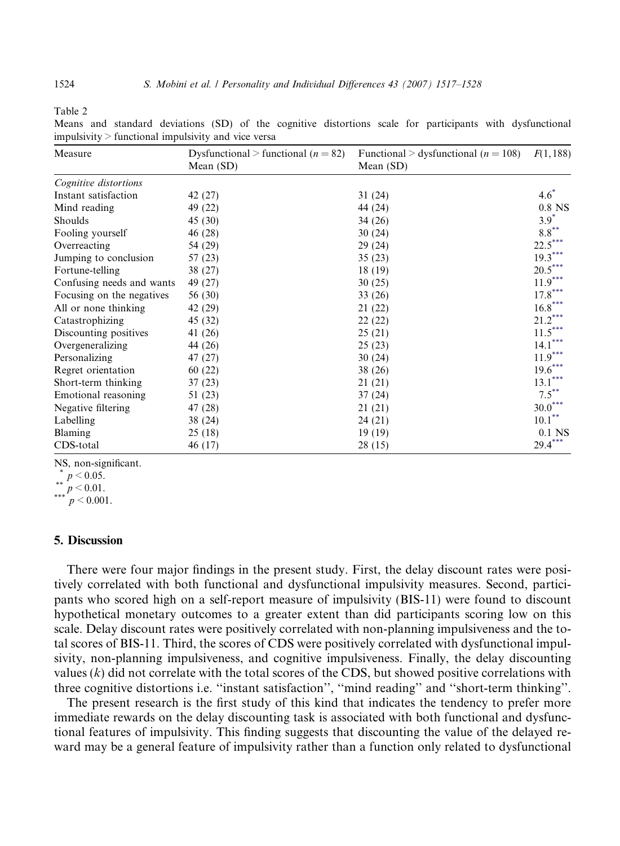<span id="page-7-0"></span>

Table 2

Means and standard deviations (SD) of the cognitive distortions scale for participants with dysfunctional impulsivity > functional impulsivity and vice versa

| Measure                   | Dysfunctional > functional $(n = 82)$<br>Mean $(SD)$ | Functional > dysfunctional $(n = 108)$<br>Mean $(SD)$ | F(1, 188) |  |
|---------------------------|------------------------------------------------------|-------------------------------------------------------|-----------|--|
| Cognitive distortions     |                                                      |                                                       |           |  |
| Instant satisfaction      | 42 (27)                                              | 31 (24)                                               | $4.6*$    |  |
| Mind reading              | 49 (22)                                              | 44 (24)                                               | $0.8$ NS  |  |
| Shoulds                   | 45 (30)                                              | 34 (26)                                               | $3.9*$    |  |
| Fooling yourself          | 46 (28)                                              | 30(24)                                                | $8.8***$  |  |
| Overreacting              | 54 (29)                                              | 29 (24)                                               | $22.5***$ |  |
| Jumping to conclusion     | 57 (23)                                              | 35(23)                                                | $19.3***$ |  |
| Fortune-telling           | 38 (27)                                              | 18 (19)                                               | $20.5***$ |  |
| Confusing needs and wants | 49 (27)                                              | 30(25)                                                | $11.9***$ |  |
| Focusing on the negatives | 56 (30)                                              | 33 (26)                                               | $17.8***$ |  |
| All or none thinking      | 42 (29)                                              | 21(22)                                                | $16.8***$ |  |
| Catastrophizing           | 45 (32)                                              | 22(22)                                                | $21.2***$ |  |
| Discounting positives     | 41 (26)                                              | 25(21)                                                | $11.5***$ |  |
| Overgeneralizing          | 44 (26)                                              | 25(23)                                                | 14.1      |  |
| Personalizing             | 47 (27)                                              | 30(24)                                                | $11.9***$ |  |
| Regret orientation        | 60(22)                                               | 38 (26)                                               | $19.6***$ |  |
| Short-term thinking       | 37(23)                                               | 21 (21)                                               | $13.1***$ |  |
| Emotional reasoning       | 51 (23)                                              | 37(24)                                                | $7.5***$  |  |
| Negative filtering        | 47 (28)                                              | 21 (21)                                               | $30.0***$ |  |
| Labelling                 | 38 (24)                                              | 24(21)                                                | $10.1$ ** |  |
| Blaming                   | 25(18)                                               | 19 (19)                                               | $0.1$ NS  |  |
| CDS-total                 | 46 (17)                                              | 28(15)                                                | $29.4***$ |  |

NS, non-significant.<br>  $p < 0.05$ .

\*\*  $p < 0.01$ .<br>\*\*\*  $p < 0.001$ .

#### 5. Discussion

There were four major findings in the present study. First, the delay discount rates were positively correlated with both functional and dysfunctional impulsivity measures. Second, participants who scored high on a self-report measure of impulsivity (BIS-11) were found to discount hypothetical monetary outcomes to a greater extent than did participants scoring low on this scale. Delay discount rates were positively correlated with non-planning impulsiveness and the total scores of BIS-11. Third, the scores of CDS were positively correlated with dysfunctional impulsivity, non-planning impulsiveness, and cognitive impulsiveness. Finally, the delay discounting values  $(k)$  did not correlate with the total scores of the CDS, but showed positive correlations with three cognitive distortions i.e. ''instant satisfaction'', ''mind reading'' and ''short-term thinking''.

The present research is the first study of this kind that indicates the tendency to prefer more immediate rewards on the delay discounting task is associated with both functional and dysfunctional features of impulsivity. This finding suggests that discounting the value of the delayed reward may be a general feature of impulsivity rather than a function only related to dysfunctional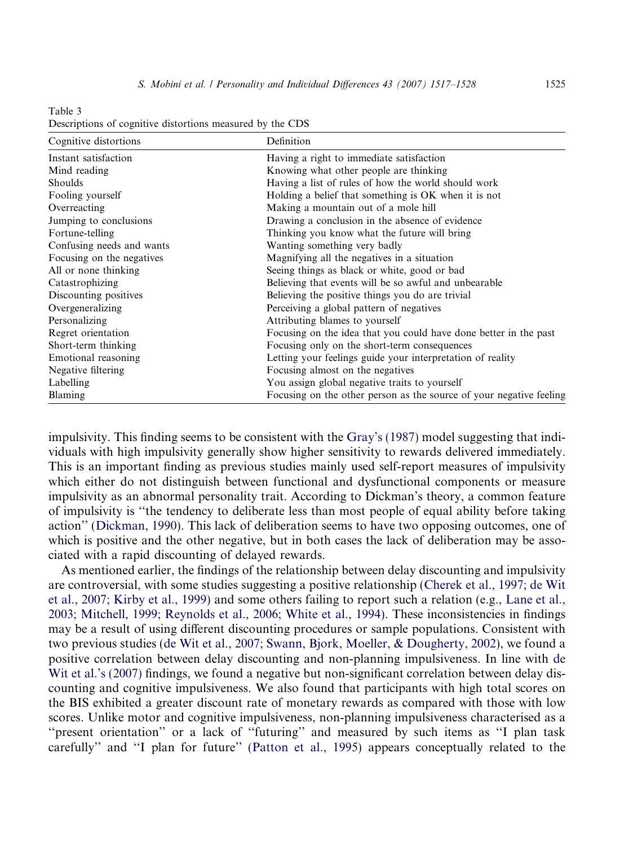<span id="page-8-0"></span>Table 3 Descriptions of cognitive distortions measured by the CDS

| Cognitive distortions     | Definition                                                          |  |  |
|---------------------------|---------------------------------------------------------------------|--|--|
| Instant satisfaction      | Having a right to immediate satisfaction                            |  |  |
| Mind reading              | Knowing what other people are thinking                              |  |  |
| Shoulds                   | Having a list of rules of how the world should work                 |  |  |
| Fooling yourself          | Holding a belief that something is OK when it is not                |  |  |
| Overreacting              | Making a mountain out of a mole hill                                |  |  |
| Jumping to conclusions    | Drawing a conclusion in the absence of evidence                     |  |  |
| Fortune-telling           | Thinking you know what the future will bring                        |  |  |
| Confusing needs and wants | Wanting something very badly                                        |  |  |
| Focusing on the negatives | Magnifying all the negatives in a situation                         |  |  |
| All or none thinking      | Seeing things as black or white, good or bad                        |  |  |
| Catastrophizing           | Believing that events will be so awful and unbearable               |  |  |
| Discounting positives     | Believing the positive things you do are trivial                    |  |  |
| Overgeneralizing          | Perceiving a global pattern of negatives                            |  |  |
| Personalizing             | Attributing blames to yourself                                      |  |  |
| Regret orientation        | Focusing on the idea that you could have done better in the past    |  |  |
| Short-term thinking       | Focusing only on the short-term consequences                        |  |  |
| Emotional reasoning       | Letting your feelings guide your interpretation of reality          |  |  |
| Negative filtering        | Focusing almost on the negatives                                    |  |  |
| Labelling                 | You assign global negative traits to yourself                       |  |  |
| Blaming                   | Focusing on the other person as the source of your negative feeling |  |  |

impulsivity. This finding seems to be consistent with the [Gray's \(1987\)](#page-10-0) model suggesting that individuals with high impulsivity generally show higher sensitivity to rewards delivered immediately. This is an important finding as previous studies mainly used self-report measures of impulsivity which either do not distinguish between functional and dysfunctional components or measure impulsivity as an abnormal personality trait. According to Dickman's theory, a common feature of impulsivity is ''the tendency to deliberate less than most people of equal ability before taking action'' [\(Dickman, 1990](#page-10-0)). This lack of deliberation seems to have two opposing outcomes, one of which is positive and the other negative, but in both cases the lack of deliberation may be associated with a rapid discounting of delayed rewards.

As mentioned earlier, the findings of the relationship between delay discounting and impulsivity are controversial, with some studies suggesting a positive relationship ([Cherek et al., 1997; de Wit](#page-10-0) [et al., 2007; Kirby et al., 1999](#page-10-0)) and some others failing to report such a relation (e.g., [Lane et al.,](#page-11-0) [2003; Mitchell, 1999; Reynolds et al., 2006; White et al., 1994](#page-11-0)). These inconsistencies in findings may be a result of using different discounting procedures or sample populations. Consistent with two previous studies ([de Wit et al., 2007; Swann, Bjork, Moeller, & Dougherty, 2002\)](#page-10-0), we found a positive correlation between delay discounting and non-planning impulsiveness. In line with [de](#page-10-0) [Wit et al.'s \(2007\)](#page-10-0) findings, we found a negative but non-significant correlation between delay discounting and cognitive impulsiveness. We also found that participants with high total scores on the BIS exhibited a greater discount rate of monetary rewards as compared with those with low scores. Unlike motor and cognitive impulsiveness, non-planning impulsiveness characterised as a "present orientation" or a lack of "futuring" and measured by such items as "I plan task carefully'' and ''I plan for future'' ([Patton et al., 1995](#page-11-0)) appears conceptually related to the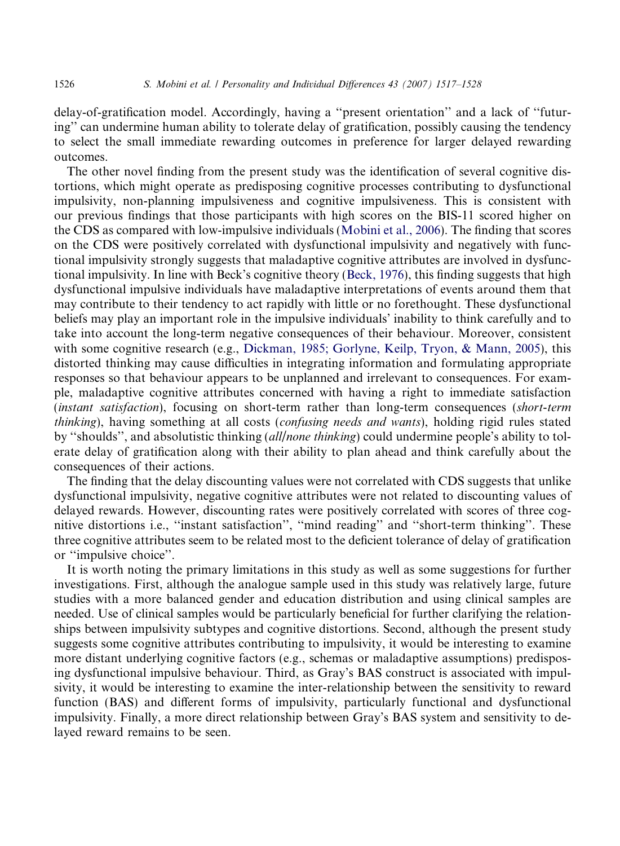delay-of-gratification model. Accordingly, having a ''present orientation'' and a lack of ''futuring'' can undermine human ability to tolerate delay of gratification, possibly causing the tendency to select the small immediate rewarding outcomes in preference for larger delayed rewarding outcomes.

The other novel finding from the present study was the identification of several cognitive distortions, which might operate as predisposing cognitive processes contributing to dysfunctional impulsivity, non-planning impulsiveness and cognitive impulsiveness. This is consistent with our previous findings that those participants with high scores on the BIS-11 scored higher on the CDS as compared with low-impulsive individuals ([Mobini et al., 2006\)](#page-11-0). The finding that scores on the CDS were positively correlated with dysfunctional impulsivity and negatively with functional impulsivity strongly suggests that maladaptive cognitive attributes are involved in dysfunctional impulsivity. In line with Beck's cognitive theory [\(Beck, 1976\)](#page-10-0), this finding suggests that high dysfunctional impulsive individuals have maladaptive interpretations of events around them that may contribute to their tendency to act rapidly with little or no forethought. These dysfunctional beliefs may play an important role in the impulsive individuals' inability to think carefully and to take into account the long-term negative consequences of their behaviour. Moreover, consistent with some cognitive research (e.g., [Dickman, 1985; Gorlyne, Keilp, Tryon, & Mann, 2005\)](#page-10-0), this distorted thinking may cause difficulties in integrating information and formulating appropriate responses so that behaviour appears to be unplanned and irrelevant to consequences. For example, maladaptive cognitive attributes concerned with having a right to immediate satisfaction (*instant satisfaction*), focusing on short-term rather than long-term consequences (*short-term* thinking), having something at all costs (confusing needs and wants), holding rigid rules stated by ''shoulds'', and absolutistic thinking (all/none thinking) could undermine people's ability to tolerate delay of gratification along with their ability to plan ahead and think carefully about the consequences of their actions.

The finding that the delay discounting values were not correlated with CDS suggests that unlike dysfunctional impulsivity, negative cognitive attributes were not related to discounting values of delayed rewards. However, discounting rates were positively correlated with scores of three cognitive distortions i.e., ''instant satisfaction'', ''mind reading'' and ''short-term thinking''. These three cognitive attributes seem to be related most to the deficient tolerance of delay of gratification or ''impulsive choice''.

It is worth noting the primary limitations in this study as well as some suggestions for further investigations. First, although the analogue sample used in this study was relatively large, future studies with a more balanced gender and education distribution and using clinical samples are needed. Use of clinical samples would be particularly beneficial for further clarifying the relationships between impulsivity subtypes and cognitive distortions. Second, although the present study suggests some cognitive attributes contributing to impulsivity, it would be interesting to examine more distant underlying cognitive factors (e.g., schemas or maladaptive assumptions) predisposing dysfunctional impulsive behaviour. Third, as Gray's BAS construct is associated with impulsivity, it would be interesting to examine the inter-relationship between the sensitivity to reward function (BAS) and different forms of impulsivity, particularly functional and dysfunctional impulsivity. Finally, a more direct relationship between Gray's BAS system and sensitivity to delayed reward remains to be seen.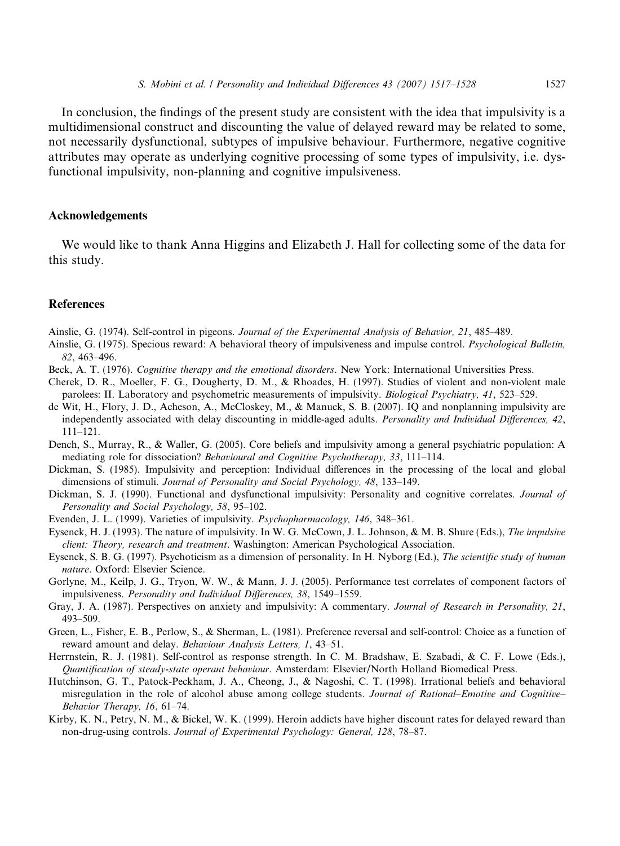<span id="page-10-0"></span>In conclusion, the findings of the present study are consistent with the idea that impulsivity is a multidimensional construct and discounting the value of delayed reward may be related to some, not necessarily dysfunctional, subtypes of impulsive behaviour. Furthermore, negative cognitive attributes may operate as underlying cognitive processing of some types of impulsivity, i.e. dysfunctional impulsivity, non-planning and cognitive impulsiveness.

## Acknowledgements

We would like to thank Anna Higgins and Elizabeth J. Hall for collecting some of the data for this study.

## References

- Ainslie, G. (1974). Self-control in pigeons. Journal of the Experimental Analysis of Behavior, 21, 485–489.
- Ainslie, G. (1975). Specious reward: A behavioral theory of impulsiveness and impulse control. Psychological Bulletin, 82, 463–496.
- Beck, A. T. (1976). Cognitive therapy and the emotional disorders. New York: International Universities Press.
- Cherek, D. R., Moeller, F. G., Dougherty, D. M., & Rhoades, H. (1997). Studies of violent and non-violent male parolees: II. Laboratory and psychometric measurements of impulsivity. Biological Psychiatry, 41, 523–529.
- de Wit, H., Flory, J. D., Acheson, A., McCloskey, M., & Manuck, S. B. (2007). IQ and nonplanning impulsivity are independently associated with delay discounting in middle-aged adults. Personality and Individual Differences, 42, 111–121.
- Dench, S., Murray, R., & Waller, G. (2005). Core beliefs and impulsivity among a general psychiatric population: A mediating role for dissociation? Behavioural and Cognitive Psychotherapy, 33, 111–114.
- Dickman, S. (1985). Impulsivity and perception: Individual differences in the processing of the local and global dimensions of stimuli. Journal of Personality and Social Psychology, 48, 133–149.
- Dickman, S. J. (1990). Functional and dysfunctional impulsivity: Personality and cognitive correlates. Journal of Personality and Social Psychology, 58, 95–102.
- Evenden, J. L. (1999). Varieties of impulsivity. Psychopharmacology, 146, 348–361.
- Eysenck, H. J. (1993). The nature of impulsivity. In W. G. McCown, J. L. Johnson, & M. B. Shure (Eds.), The impulsive client: Theory, research and treatment. Washington: American Psychological Association.
- Eysenck, S. B. G. (1997). Psychoticism as a dimension of personality. In H. Nyborg (Ed.), The scientific study of human nature. Oxford: Elsevier Science.
- Gorlyne, M., Keilp, J. G., Tryon, W. W., & Mann, J. J. (2005). Performance test correlates of component factors of impulsiveness. Personality and Individual Differences, 38, 1549–1559.
- Gray, J. A. (1987). Perspectives on anxiety and impulsivity: A commentary. Journal of Research in Personality, 21, 493–509.
- Green, L., Fisher, E. B., Perlow, S., & Sherman, L. (1981). Preference reversal and self-control: Choice as a function of reward amount and delay. Behaviour Analysis Letters, 1, 43–51.
- Herrnstein, R. J. (1981). Self-control as response strength. In C. M. Bradshaw, E. Szabadi, & C. F. Lowe (Eds.), Quantification of steady-state operant behaviour. Amsterdam: Elsevier/North Holland Biomedical Press.
- Hutchinson, G. T., Patock-Peckham, J. A., Cheong, J., & Nagoshi, C. T. (1998). Irrational beliefs and behavioral misregulation in the role of alcohol abuse among college students. Journal of Rational–Emotive and Cognitive– Behavior Therapy, 16, 61–74.
- Kirby, K. N., Petry, N. M., & Bickel, W. K. (1999). Heroin addicts have higher discount rates for delayed reward than non-drug-using controls. Journal of Experimental Psychology: General, 128, 78–87.